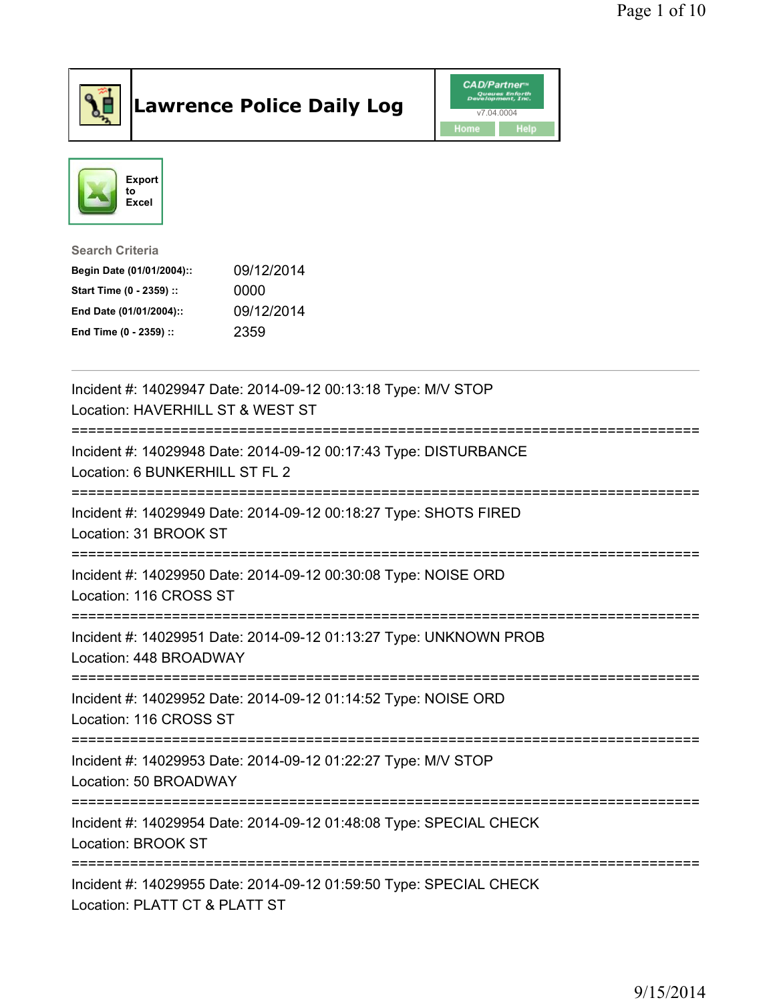

## Lawrence Police Daily Log Value of the CAD/Partner





## Search Criteria

| Begin Date (01/01/2004):: | 09/12/2014 |
|---------------------------|------------|
| Start Time (0 - 2359) ::  | 0000       |
| End Date (01/01/2004)::   | 09/12/2014 |
| End Time (0 - 2359) ::    | 2359       |

| Incident #: 14029947 Date: 2014-09-12 00:13:18 Type: M/V STOP<br>Location: HAVERHILL ST & WEST ST                                    |
|--------------------------------------------------------------------------------------------------------------------------------------|
| Incident #: 14029948 Date: 2014-09-12 00:17:43 Type: DISTURBANCE<br>Location: 6 BUNKERHILL ST FL 2                                   |
| Incident #: 14029949 Date: 2014-09-12 00:18:27 Type: SHOTS FIRED<br>Location: 31 BROOK ST                                            |
| Incident #: 14029950 Date: 2014-09-12 00:30:08 Type: NOISE ORD<br>Location: 116 CROSS ST                                             |
| Incident #: 14029951 Date: 2014-09-12 01:13:27 Type: UNKNOWN PROB<br>Location: 448 BROADWAY<br>===================================== |
| Incident #: 14029952 Date: 2014-09-12 01:14:52 Type: NOISE ORD<br>Location: 116 CROSS ST                                             |
| Incident #: 14029953 Date: 2014-09-12 01:22:27 Type: M/V STOP<br>Location: 50 BROADWAY                                               |
| Incident #: 14029954 Date: 2014-09-12 01:48:08 Type: SPECIAL CHECK<br>Location: BROOK ST                                             |
| Incident #: 14029955 Date: 2014-09-12 01:59:50 Type: SPECIAL CHECK<br>Location: PLATT CT & PLATT ST                                  |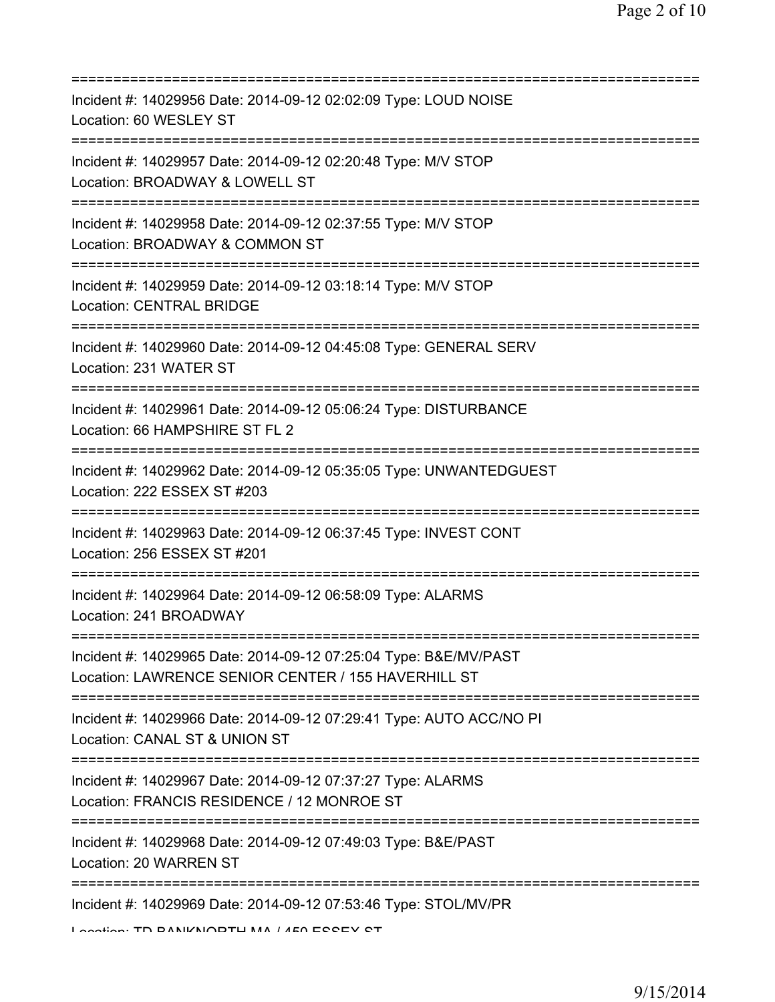| ===========================                                                                                                       |
|-----------------------------------------------------------------------------------------------------------------------------------|
| Incident #: 14029956 Date: 2014-09-12 02:02:09 Type: LOUD NOISE<br>Location: 60 WESLEY ST                                         |
| Incident #: 14029957 Date: 2014-09-12 02:20:48 Type: M/V STOP<br>Location: BROADWAY & LOWELL ST                                   |
| Incident #: 14029958 Date: 2014-09-12 02:37:55 Type: M/V STOP<br>Location: BROADWAY & COMMON ST                                   |
| Incident #: 14029959 Date: 2014-09-12 03:18:14 Type: M/V STOP<br><b>Location: CENTRAL BRIDGE</b>                                  |
| Incident #: 14029960 Date: 2014-09-12 04:45:08 Type: GENERAL SERV<br>Location: 231 WATER ST                                       |
| Incident #: 14029961 Date: 2014-09-12 05:06:24 Type: DISTURBANCE<br>Location: 66 HAMPSHIRE ST FL 2                                |
| Incident #: 14029962 Date: 2014-09-12 05:35:05 Type: UNWANTEDGUEST<br>Location: 222 ESSEX ST #203                                 |
| Incident #: 14029963 Date: 2014-09-12 06:37:45 Type: INVEST CONT<br>Location: 256 ESSEX ST #201                                   |
| Incident #: 14029964 Date: 2014-09-12 06:58:09 Type: ALARMS<br>Location: 241 BROADWAY                                             |
| Incident #: 14029965 Date: 2014-09-12 07:25:04 Type: B&E/MV/PAST<br>Location: LAWRENCE SENIOR CENTER / 155 HAVERHILL ST           |
| Incident #: 14029966 Date: 2014-09-12 07:29:41 Type: AUTO ACC/NO PI<br>Location: CANAL ST & UNION ST                              |
| Incident #: 14029967 Date: 2014-09-12 07:37:27 Type: ALARMS<br>Location: FRANCIS RESIDENCE / 12 MONROE ST                         |
| Incident #: 14029968 Date: 2014-09-12 07:49:03 Type: B&E/PAST<br>Location: 20 WARREN ST<br>====================================== |
| Incident #: 14029969 Date: 2014-09-12 07:53:46 Type: STOL/MV/PR<br>Looption: TD DANII/NODTLL MALLAED EQQEV QT                     |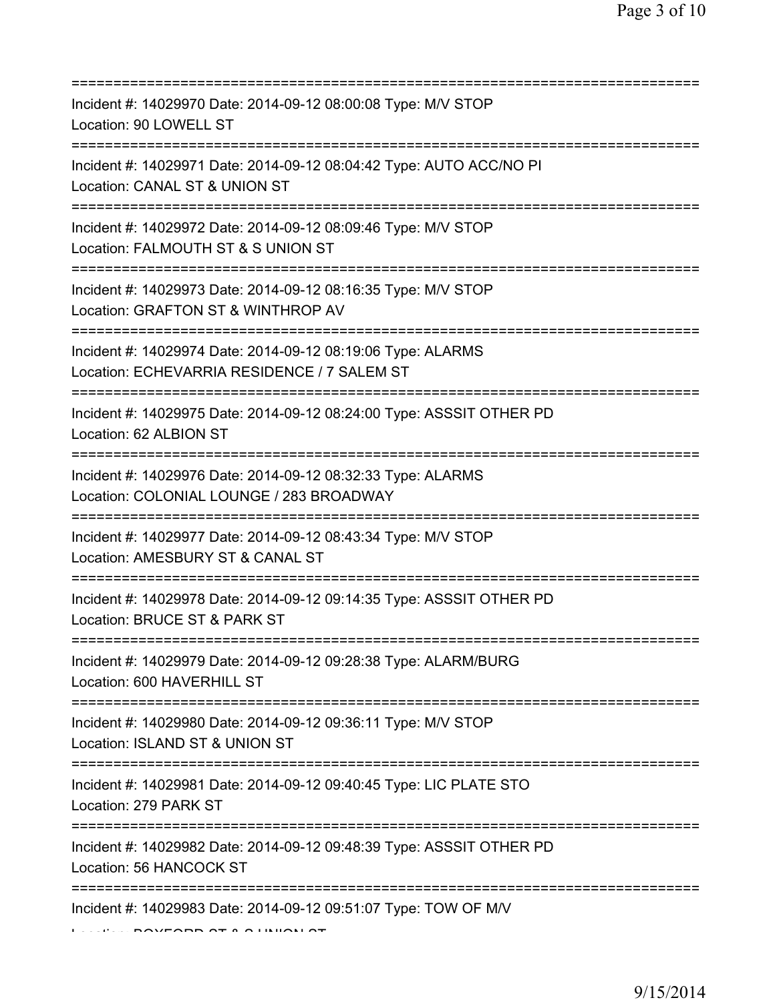| Incident #: 14029970 Date: 2014-09-12 08:00:08 Type: M/V STOP<br>Location: 90 LOWELL ST                                                  |
|------------------------------------------------------------------------------------------------------------------------------------------|
| Incident #: 14029971 Date: 2014-09-12 08:04:42 Type: AUTO ACC/NO PI<br>Location: CANAL ST & UNION ST                                     |
| Incident #: 14029972 Date: 2014-09-12 08:09:46 Type: M/V STOP<br>Location: FALMOUTH ST & S UNION ST                                      |
| Incident #: 14029973 Date: 2014-09-12 08:16:35 Type: M/V STOP<br>Location: GRAFTON ST & WINTHROP AV                                      |
| Incident #: 14029974 Date: 2014-09-12 08:19:06 Type: ALARMS<br>Location: ECHEVARRIA RESIDENCE / 7 SALEM ST                               |
| Incident #: 14029975 Date: 2014-09-12 08:24:00 Type: ASSSIT OTHER PD<br>Location: 62 ALBION ST<br>==============================         |
| Incident #: 14029976 Date: 2014-09-12 08:32:33 Type: ALARMS<br>Location: COLONIAL LOUNGE / 283 BROADWAY<br>============================= |
| Incident #: 14029977 Date: 2014-09-12 08:43:34 Type: M/V STOP<br>Location: AMESBURY ST & CANAL ST<br>============                        |
| Incident #: 14029978 Date: 2014-09-12 09:14:35 Type: ASSSIT OTHER PD<br>Location: BRUCE ST & PARK ST                                     |
| Incident #: 14029979 Date: 2014-09-12 09:28:38 Type: ALARM/BURG<br>Location: 600 HAVERHILL ST                                            |
| Incident #: 14029980 Date: 2014-09-12 09:36:11 Type: M/V STOP<br>Location: ISLAND ST & UNION ST                                          |
| Incident #: 14029981 Date: 2014-09-12 09:40:45 Type: LIC PLATE STO<br>Location: 279 PARK ST                                              |
| Incident #: 14029982 Date: 2014-09-12 09:48:39 Type: ASSSIT OTHER PD<br>Location: 56 HANCOCK ST                                          |
| Incident #: 14029983 Date: 2014-09-12 09:51:07 Type: TOW OF M/V                                                                          |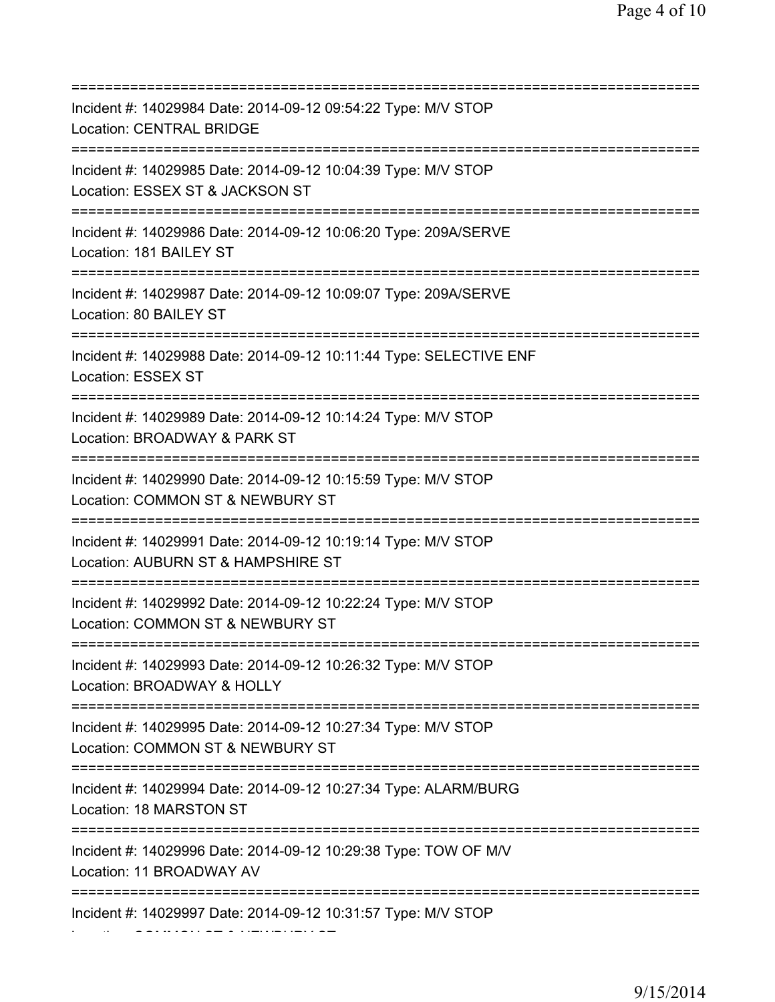| Incident #: 14029984 Date: 2014-09-12 09:54:22 Type: M/V STOP<br>Location: CENTRAL BRIDGE                                                  |
|--------------------------------------------------------------------------------------------------------------------------------------------|
| Incident #: 14029985 Date: 2014-09-12 10:04:39 Type: M/V STOP<br>Location: ESSEX ST & JACKSON ST                                           |
| Incident #: 14029986 Date: 2014-09-12 10:06:20 Type: 209A/SERVE<br>Location: 181 BAILEY ST                                                 |
| Incident #: 14029987 Date: 2014-09-12 10:09:07 Type: 209A/SERVE<br>Location: 80 BAILEY ST<br>====================================          |
| Incident #: 14029988 Date: 2014-09-12 10:11:44 Type: SELECTIVE ENF<br>Location: ESSEX ST<br>===============================                |
| Incident #: 14029989 Date: 2014-09-12 10:14:24 Type: M/V STOP<br>Location: BROADWAY & PARK ST                                              |
| Incident #: 14029990 Date: 2014-09-12 10:15:59 Type: M/V STOP<br>Location: COMMON ST & NEWBURY ST                                          |
| Incident #: 14029991 Date: 2014-09-12 10:19:14 Type: M/V STOP<br>Location: AUBURN ST & HAMPSHIRE ST                                        |
| Incident #: 14029992 Date: 2014-09-12 10:22:24 Type: M/V STOP<br>Location: COMMON ST & NEWBURY ST                                          |
| Incident #: 14029993 Date: 2014-09-12 10:26:32 Type: M/V STOP<br>Location: BROADWAY & HOLLY<br>======================================      |
| Incident #: 14029995 Date: 2014-09-12 10:27:34 Type: M/V STOP<br>Location: COMMON ST & NEWBURY ST<br>===================================== |
| Incident #: 14029994 Date: 2014-09-12 10:27:34 Type: ALARM/BURG<br>Location: 18 MARSTON ST                                                 |
| Incident #: 14029996 Date: 2014-09-12 10:29:38 Type: TOW OF M/V<br>Location: 11 BROADWAY AV                                                |
| Incident #: 14029997 Date: 2014-09-12 10:31:57 Type: M/V STOP                                                                              |

Location: COMMON ST & NEWBURY ST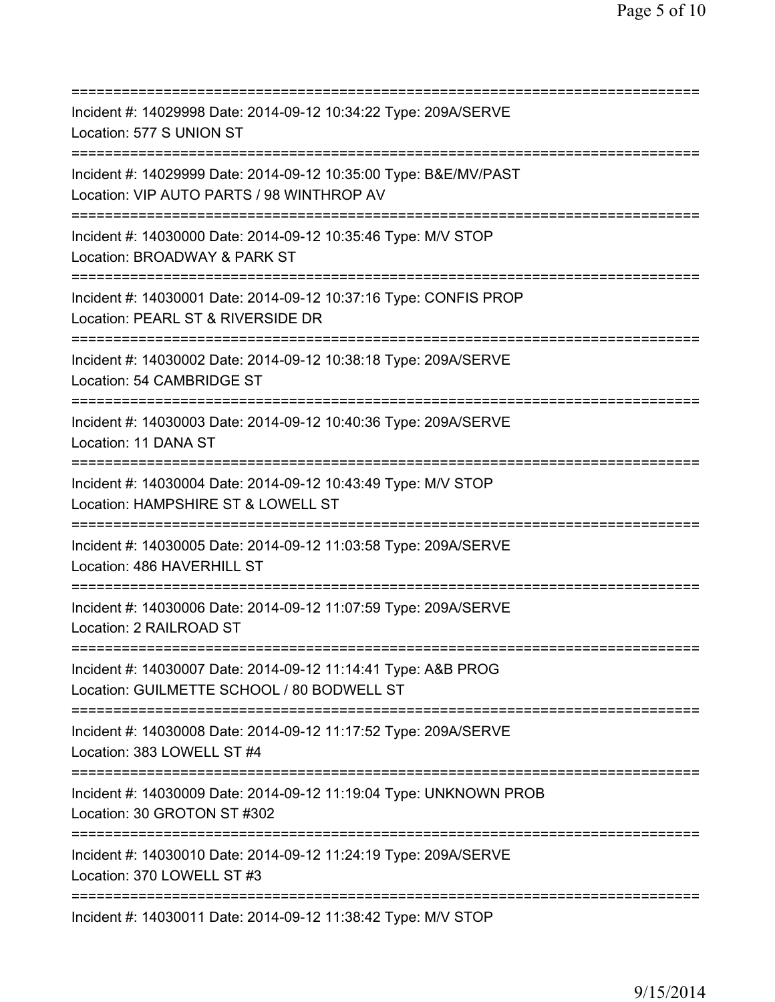| Incident #: 14029998 Date: 2014-09-12 10:34:22 Type: 209A/SERVE<br>Location: 577 S UNION ST                               |
|---------------------------------------------------------------------------------------------------------------------------|
| Incident #: 14029999 Date: 2014-09-12 10:35:00 Type: B&E/MV/PAST<br>Location: VIP AUTO PARTS / 98 WINTHROP AV             |
| Incident #: 14030000 Date: 2014-09-12 10:35:46 Type: M/V STOP<br>Location: BROADWAY & PARK ST<br>======================== |
| Incident #: 14030001 Date: 2014-09-12 10:37:16 Type: CONFIS PROP<br>Location: PEARL ST & RIVERSIDE DR                     |
| Incident #: 14030002 Date: 2014-09-12 10:38:18 Type: 209A/SERVE<br>Location: 54 CAMBRIDGE ST                              |
| Incident #: 14030003 Date: 2014-09-12 10:40:36 Type: 209A/SERVE<br>Location: 11 DANA ST<br>============================== |
| Incident #: 14030004 Date: 2014-09-12 10:43:49 Type: M/V STOP<br>Location: HAMPSHIRE ST & LOWELL ST                       |
| Incident #: 14030005 Date: 2014-09-12 11:03:58 Type: 209A/SERVE<br>Location: 486 HAVERHILL ST                             |
| Incident #: 14030006 Date: 2014-09-12 11:07:59 Type: 209A/SERVE<br>Location: 2 RAILROAD ST                                |
| Incident #: 14030007 Date: 2014-09-12 11:14:41 Type: A&B PROG<br>Location: GUILMETTE SCHOOL / 80 BODWELL ST               |
| Incident #: 14030008 Date: 2014-09-12 11:17:52 Type: 209A/SERVE<br>Location: 383 LOWELL ST #4                             |
| Incident #: 14030009 Date: 2014-09-12 11:19:04 Type: UNKNOWN PROB<br>Location: 30 GROTON ST #302                          |
| Incident #: 14030010 Date: 2014-09-12 11:24:19 Type: 209A/SERVE<br>Location: 370 LOWELL ST #3                             |
| Incident #: 14030011 Date: 2014-09-12 11:38:42 Type: M/V STOP                                                             |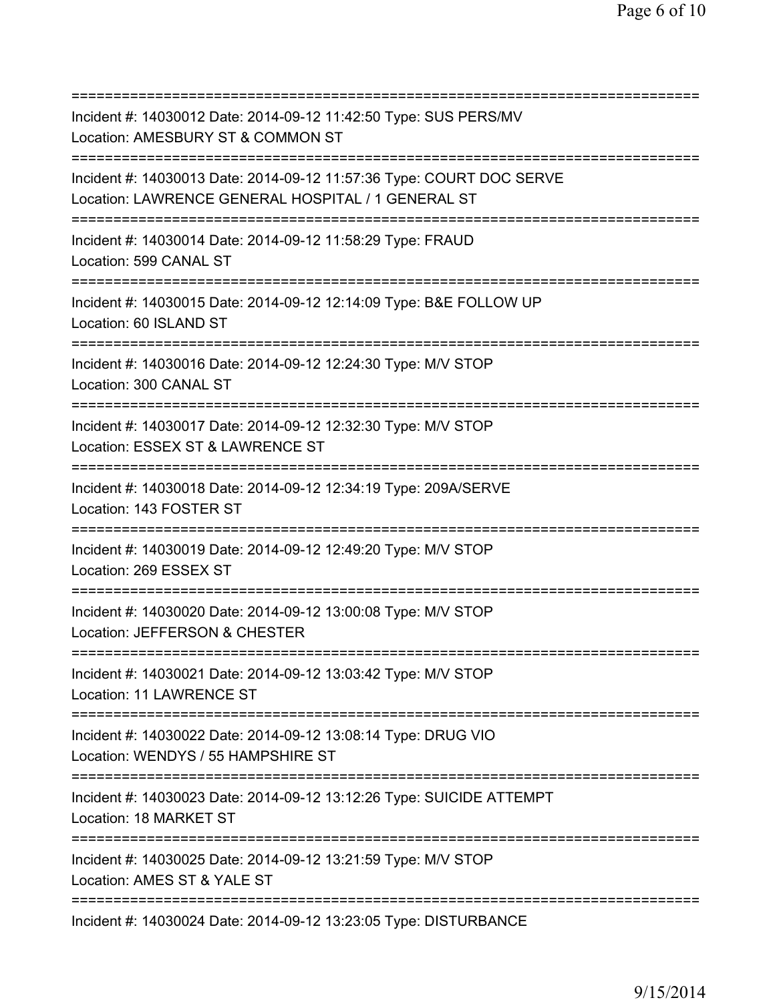=========================================================================== Incident #: 14030012 Date: 2014-09-12 11:42:50 Type: SUS PERS/MV Location: AMESBURY ST & COMMON ST =========================================================================== Incident #: 14030013 Date: 2014-09-12 11:57:36 Type: COURT DOC SERVE Location: LAWRENCE GENERAL HOSPITAL / 1 GENERAL ST =========================================================================== Incident #: 14030014 Date: 2014-09-12 11:58:29 Type: FRAUD Location: 599 CANAL ST =========================================================================== Incident #: 14030015 Date: 2014-09-12 12:14:09 Type: B&E FOLLOW UP Location: 60 ISLAND ST =========================================================================== Incident #: 14030016 Date: 2014-09-12 12:24:30 Type: M/V STOP Location: 300 CANAL ST =========================================================================== Incident #: 14030017 Date: 2014-09-12 12:32:30 Type: M/V STOP Location: ESSEX ST & LAWRENCE ST =========================================================================== Incident #: 14030018 Date: 2014-09-12 12:34:19 Type: 209A/SERVE Location: 143 FOSTER ST =========================================================================== Incident #: 14030019 Date: 2014-09-12 12:49:20 Type: M/V STOP Location: 269 ESSEX ST =========================================================================== Incident #: 14030020 Date: 2014-09-12 13:00:08 Type: M/V STOP Location: JEFFERSON & CHESTER =========================================================================== Incident #: 14030021 Date: 2014-09-12 13:03:42 Type: M/V STOP Location: 11 LAWRENCE ST =========================================================================== Incident #: 14030022 Date: 2014-09-12 13:08:14 Type: DRUG VIO Location: WENDYS / 55 HAMPSHIRE ST =========================================================================== Incident #: 14030023 Date: 2014-09-12 13:12:26 Type: SUICIDE ATTEMPT Location: 18 MARKET ST =========================================================================== Incident #: 14030025 Date: 2014-09-12 13:21:59 Type: M/V STOP Location: AMES ST & YALE ST =========================================================================== Incident #: 14030024 Date: 2014-09-12 13:23:05 Type: DISTURBANCE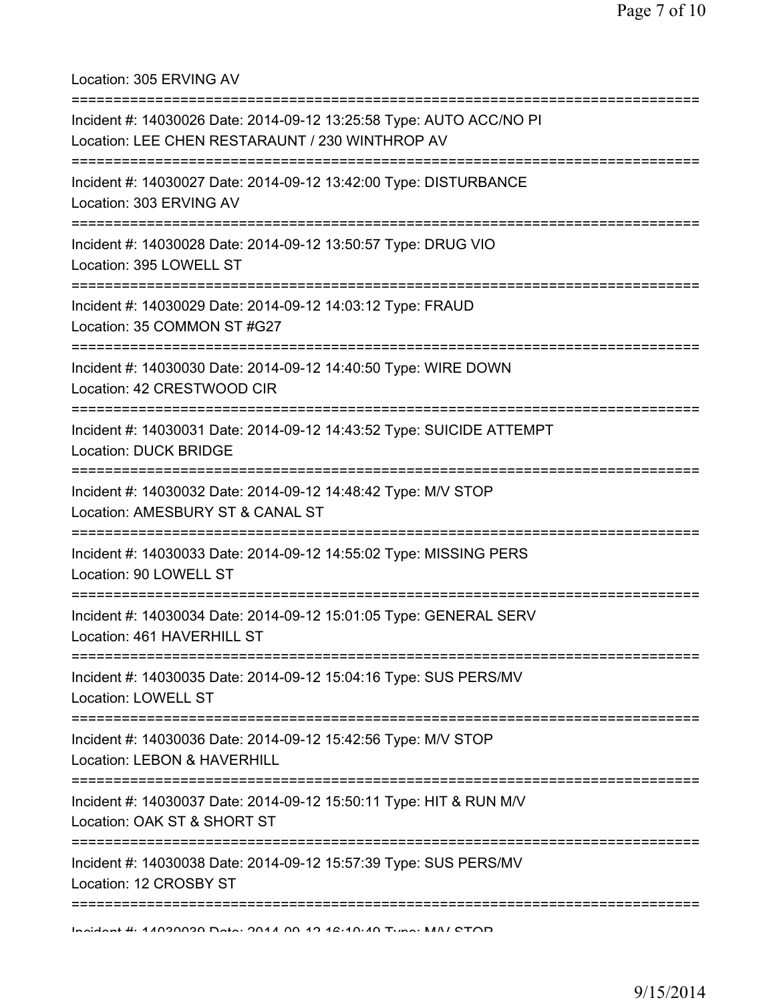Location: 305 ERVING AV

| -------------------                                                                                                    |
|------------------------------------------------------------------------------------------------------------------------|
| Incident #: 14030026 Date: 2014-09-12 13:25:58 Type: AUTO ACC/NO PI<br>Location: LEE CHEN RESTARAUNT / 230 WINTHROP AV |
| Incident #: 14030027 Date: 2014-09-12 13:42:00 Type: DISTURBANCE<br>Location: 303 ERVING AV                            |
| Incident #: 14030028 Date: 2014-09-12 13:50:57 Type: DRUG VIO<br>Location: 395 LOWELL ST                               |
| Incident #: 14030029 Date: 2014-09-12 14:03:12 Type: FRAUD<br>Location: 35 COMMON ST #G27                              |
| Incident #: 14030030 Date: 2014-09-12 14:40:50 Type: WIRE DOWN<br>Location: 42 CRESTWOOD CIR                           |
| Incident #: 14030031 Date: 2014-09-12 14:43:52 Type: SUICIDE ATTEMPT<br><b>Location: DUCK BRIDGE</b>                   |
| Incident #: 14030032 Date: 2014-09-12 14:48:42 Type: M/V STOP<br>Location: AMESBURY ST & CANAL ST                      |
| Incident #: 14030033 Date: 2014-09-12 14:55:02 Type: MISSING PERS<br>Location: 90 LOWELL ST                            |
| Incident #: 14030034 Date: 2014-09-12 15:01:05 Type: GENERAL SERV<br>Location: 461 HAVERHILL ST                        |
| Incident #: 14030035 Date: 2014-09-12 15:04:16 Type: SUS PERS/MV<br>Location: LOWELL ST                                |
| Incident #: 14030036 Date: 2014-09-12 15:42:56 Type: M/V STOP<br>Location: LEBON & HAVERHILL                           |
| Incident #: 14030037 Date: 2014-09-12 15:50:11 Type: HIT & RUN M/V<br>Location: OAK ST & SHORT ST                      |
| Incident #: 14030038 Date: 2014-09-12 15:57:39 Type: SUS PERS/MV<br>Location: 12 CROSBY ST                             |
| Indidn't #: 4.4000000 Data: 0044.00.40.40.40.40.70 Tuno: MAN/ CTOD                                                     |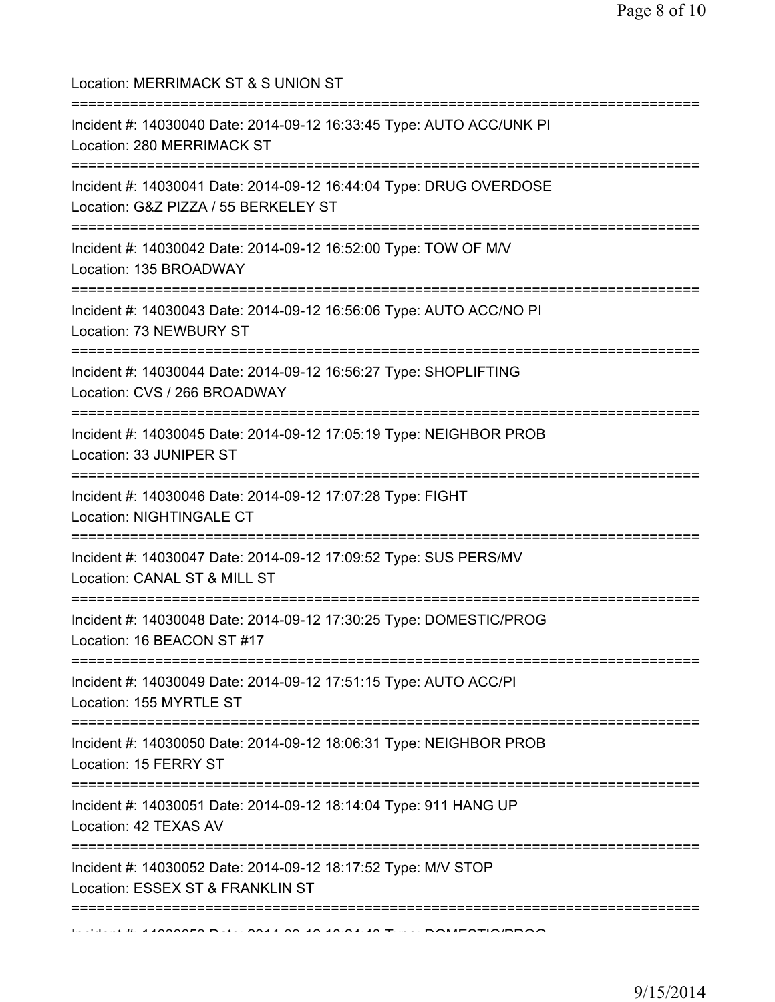| Location: MERRIMACK ST & S UNION ST<br>============================                                               |
|-------------------------------------------------------------------------------------------------------------------|
| Incident #: 14030040 Date: 2014-09-12 16:33:45 Type: AUTO ACC/UNK PI<br>Location: 280 MERRIMACK ST                |
| Incident #: 14030041 Date: 2014-09-12 16:44:04 Type: DRUG OVERDOSE<br>Location: G&Z PIZZA / 55 BERKELEY ST        |
| Incident #: 14030042 Date: 2014-09-12 16:52:00 Type: TOW OF M/V<br>Location: 135 BROADWAY                         |
| Incident #: 14030043 Date: 2014-09-12 16:56:06 Type: AUTO ACC/NO PI<br>Location: 73 NEWBURY ST                    |
| Incident #: 14030044 Date: 2014-09-12 16:56:27 Type: SHOPLIFTING<br>Location: CVS / 266 BROADWAY<br>------------- |
| Incident #: 14030045 Date: 2014-09-12 17:05:19 Type: NEIGHBOR PROB<br>Location: 33 JUNIPER ST                     |
| Incident #: 14030046 Date: 2014-09-12 17:07:28 Type: FIGHT<br>Location: NIGHTINGALE CT                            |
| Incident #: 14030047 Date: 2014-09-12 17:09:52 Type: SUS PERS/MV<br>Location: CANAL ST & MILL ST                  |
| Incident #: 14030048 Date: 2014-09-12 17:30:25 Type: DOMESTIC/PROG<br>Location: 16 BEACON ST #17                  |
| Incident #: 14030049 Date: 2014-09-12 17:51:15 Type: AUTO ACC/PI<br>Location: 155 MYRTLE ST                       |
| Incident #: 14030050 Date: 2014-09-12 18:06:31 Type: NEIGHBOR PROB<br>Location: 15 FERRY ST                       |
| Incident #: 14030051 Date: 2014-09-12 18:14:04 Type: 911 HANG UP<br>Location: 42 TEXAS AV                         |
| Incident #: 14030052 Date: 2014-09-12 18:17:52 Type: M/V STOP<br>Location: ESSEX ST & FRANKLIN ST                 |
|                                                                                                                   |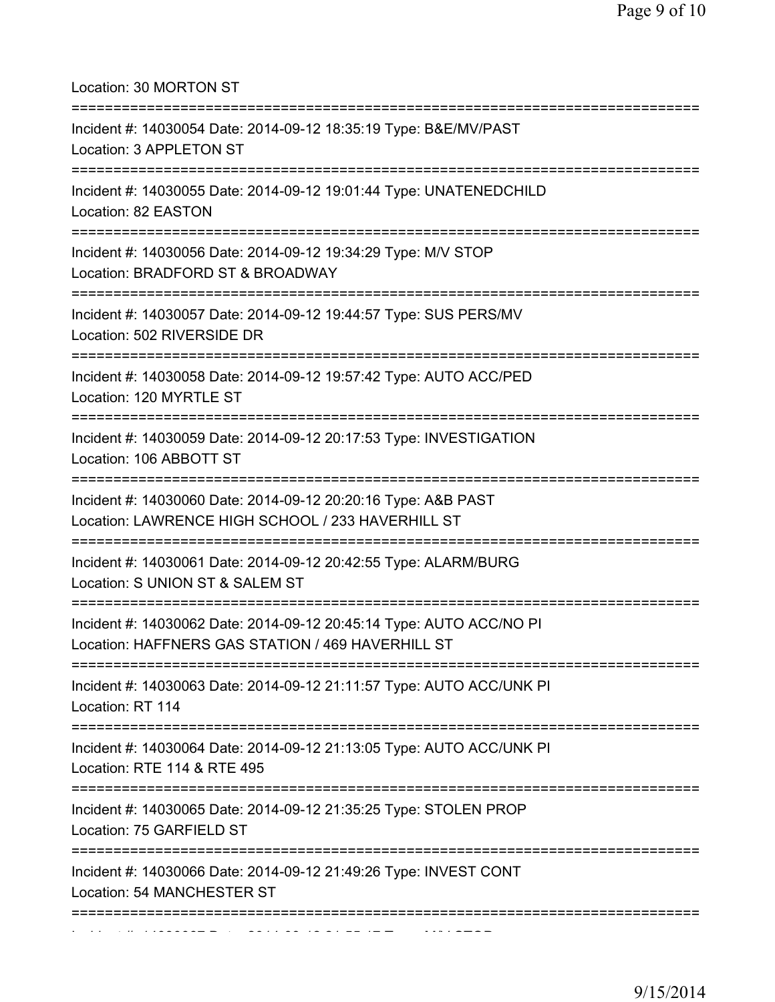Location: 30 MORTON ST =========================================================================== Incident #: 14030054 Date: 2014-09-12 18:35:19 Type: B&E/MV/PAST Location: 3 APPLETON ST =========================================================================== Incident #: 14030055 Date: 2014-09-12 19:01:44 Type: UNATENEDCHILD Location: 82 EASTON =========================================================================== Incident #: 14030056 Date: 2014-09-12 19:34:29 Type: M/V STOP Location: BRADFORD ST & BROADWAY =========================================================================== Incident #: 14030057 Date: 2014-09-12 19:44:57 Type: SUS PERS/MV Location: 502 RIVERSIDE DR =========================================================================== Incident #: 14030058 Date: 2014-09-12 19:57:42 Type: AUTO ACC/PED Location: 120 MYRTLE ST =========================================================================== Incident #: 14030059 Date: 2014-09-12 20:17:53 Type: INVESTIGATION Location: 106 ABBOTT ST =========================================================================== Incident #: 14030060 Date: 2014-09-12 20:20:16 Type: A&B PAST Location: LAWRENCE HIGH SCHOOL / 233 HAVERHILL ST =========================================================================== Incident #: 14030061 Date: 2014-09-12 20:42:55 Type: ALARM/BURG Location: S UNION ST & SALEM ST =========================================================================== Incident #: 14030062 Date: 2014-09-12 20:45:14 Type: AUTO ACC/NO PI Location: HAFFNERS GAS STATION / 469 HAVERHILL ST =========================================================================== Incident #: 14030063 Date: 2014-09-12 21:11:57 Type: AUTO ACC/UNK PI Location: RT 114 =========================================================================== Incident #: 14030064 Date: 2014-09-12 21:13:05 Type: AUTO ACC/UNK PI Location: RTE 114 & RTE 495 =========================================================================== Incident #: 14030065 Date: 2014-09-12 21:35:25 Type: STOLEN PROP Location: 75 GARFIELD ST =========================================================================== Incident #: 14030066 Date: 2014-09-12 21:49:26 Type: INVEST CONT Location: 54 MANCHESTER ST =========================================================================== Incident #: 14030067 Date: 2014 09 12 21:55:17 Type: M/V STOP